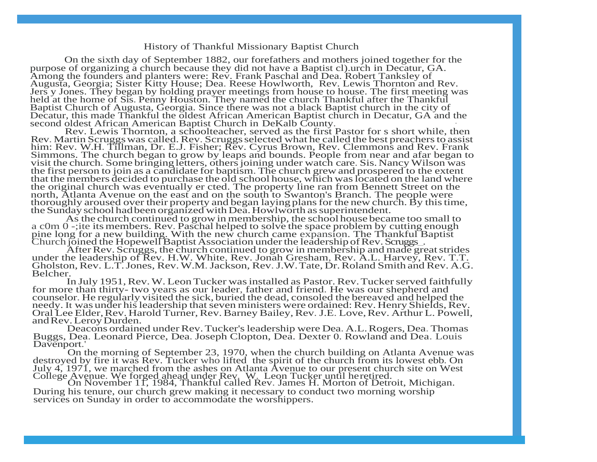## History of Thankful Missionary Baptist Church

On the sixth day of September 1882, our forefathers and mothers joined together for the purpose of organizing a church because they did not have a Baptist cl).urch in Decatur, GA. Among the founders and planters were: Rev. Frank Paschal and Dea. Robert Tanksley of Augusta, Georgia; Sister Kitty House; Dea. Reese Howlworth, Rev. Lewis Thornton and Rev. Jers y Jones. They began by holding prayer meetings from house to house. The first meeting was held at the home of Sis. Penny Houston. They named the church Thankful after the Thankful Baptist Church of Augusta, Georgia. Since there was not a black Baptist church in the city of Decatur, this made Thankful the oldest African American Baptist church in Decatur, GA and the second oldest African American Baptist Church in DeKalb County. ·

Rev. Lewis Thornton, a schoolteacher, served as the first Pastor for s short while, then Rev. Martin Scruggswas called.Rev. Scruggsselected what he called the best preachersto assist him: Rev. W.H. Tillman, Dr. E.J. Fisher; Rev. Cyrus Brown, Rev. Clemmons and Rev. Frank Simmons. The church began to grow by leaps and bounds. People from near and afar began to visit the church. Some bringing letters, others joining under watch care. Sis. Nancy Wilson was the first person to join as a candidate for baptism. The church grew and prospered to the extent that the members decided to purchase the old school house, which was located on the land where the original church was eventually er cted. The property line ran from Bennett Street on the north, Atlanta Avenue on the east and on the south to Swanton's Branch. The people were thoroughly aroused over their property and began laying plansfor the new church. By thistime, the Sunday school had been organized with Dea. Howlworth as superintendent.

As the church continued to growin membership, the school house became too small to a c0m 0 -;ite itsmembers. Rev. Paschal helped to solve the space problem by cutting enough pine long for a new building. With the new church came expansion. The Thankful Baptist Church joined the Hopewell Baptist Association under the leadership of Rev. Scruggs...

After Rev. Scruggs, the church continued to grow in membership and made great strides under the leadership of Rev. H.W. White, Rev. Jonah Gresham, Rev. A.L. Harvey, Rev. T.T. Gholston,Rev. L.T.Jones, Rev.W.M.Jackson, Rev.J.W.Tate, Dr.Roland Smith and Rev. A.G. Belcher.

In July 1951, Rev. W. Leon Tucker was installed as Pastor. Rev. Tucker served faithfully for more than thirty- two years as our leader, father and friend. He was our shepherd and counselor. He regularly visited the sick, buried the dead, consoled the bereaved and helped the needy. It was under his leadership that seven ministers were ordained: Rev. Henry Shields, Rev. Oral Lee Elder, Rev. Harold Turner, Rev. Barney Bailey, Rev. J.E. Love, Rev. Arthur L. Powell, andRev.LeroyDurden.

Deacons ordained under Rev. Tucker's leadership were Dea. A.L. Rogers, Dea. Thomas Buggs, Dea. Leonard Pierce, Dea. Joseph Clopton, Dea. Dexter 0. Rowland and Dea. Louis Davenport.'

On the morning of September 23, 1970, when the church building on Atlanta Avenue was destroyed by fire it was Rev. Tucker who lifted the spirit of the church from its lowest ebb. On July 4, 1971, we marched from the ashes on Atlanta Avenue to our present church site on West College Avenue. We forged ahead under Rev. W. Leon Tucker until heretired.

On November 11, 1984, Thankful called Rev. James H. Morton of Detroit, Michigan. During his tenure, our church grew making it necessary to conduct two morning worship services on Sunday in order to accommodate the worshippers.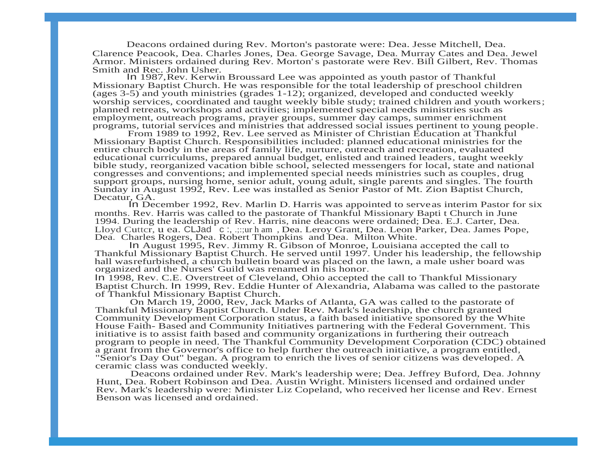Deacons ordained during Rev. Morton's pastorate were: Dea. Jesse Mitchell, Dea. Clarence Peacook, Dea. Charles Jones, Dea. George Savage, Dea. Murray Cates and Dea. Jewel Armor. Ministers ordained during Rev. Morton's pastorate were Rev. Bill Gilbert, Rev. Thomas Smith and Rec. John Usher.

In 1987,Rev. Kerwin Broussard Lee was appointed as youth pastor of Thankful Missionary Baptist Church. He was responsible for the total leadership of preschool children (ages 3-5) and youth ministries (grades  $1-12$ ); organized, developed and conducted weekly worship services, coordinated and taught weekly bible study; trained children and youth workers; planned retreats, workshops and activities; implemented special needs ministries such as employment, outreach programs, prayer groups, summer day camps, summer enrichment programs, tutorial services and ministries that addressed social issues pertinent to young people.

From 1989 to 1992, Rev. Lee served as Minister of Christian Education at Thankful Missionary Baptist Church. Responsibilities included: planned educational ministries for the entire church body in the areas of family life, nurture, outreach and recreation, evaluated educational curriculums, prepared annual budget, enlisted and trained leaders, taught weekly bible study, reorganized vacation bible school, selected messengers for local, state and national congresses and conventions; and implemented special needs ministries such as couples, drug support groups, nursing home, senior adult, young adult, single parents and singles. The fourth Sunday in August 1992, Rev. Lee was installed as Senior Pastor of Mt. Zion Baptist Church, Decatur, GA.

In December 1992, Rev. Marlin D. Harris was appointed to serveas interim Pastor for six months. Rev. Harris was called to the pastorate of Thankful Missionary Bapti t Church in June 1994. During the leadership of Rev. Harris, nine deacons were ordained; Dea. E.J. Carter, Dea. Lloyd Cutter, u ea. CLJad c :, .:::ur h am, Dea. Leroy Grant, Dea. Leon Parker, Dea. James Pope, Dea. Charles Rogers, Dea. Robert Thompkins and Dea. Milton White.

In August 1995, Rev. Jimmy R. Gibson of Monroe, Louisiana accepted the call to Thankful Missionary Baptist Church. He served until 1997. Under his leadership, the fellowship hall wasrefurbished, a church bulletin board was placed on the lawn, a male usher board was organized and the Nurses' Guild was renamed in his honor.

In 1998, Rev. C.E. Overstreet of Cleveland, Ohio accepted the call to Thankful Missionary Baptist Church. In 1999, Rev. Eddie Hunter of Alexandria, Alabama was called to the pastorate of Thankful Missionary Baptist Church.

On March 19, 2000, Rev, Jack Marks of Atlanta, GA was called to the pastorate of Thankful Missionary Baptist Church. Under Rev. Mark's leadership, the church granted Community Development Corporation status, a faith based initiative sponsored by the White House Faith- Based and Community Initiatives partnering with the Federal Government. This initiative is to assist faith based and community organizations in furthering their outreach program to people in need. The Thankful Community Development Corporation (CDC) obtained a grant from the Governor's office to help further the outreach initiative, a program entitled, "Senior's Day Out" began. A program to enrich the lives of senior citizens was developed. A ceramic class was conducted weekly.

Deacons ordained under Rev. Mark's leadership were; Dea. Jeffrey Buford, Dea. Johnny Hunt, Dea. Robert Robinson and Dea. Austin Wright. Ministers licensed and ordained under Rev. Mark's leadership were: Minister Liz Copeland, who received her license and Rev. Ernest Benson was licensed and ordained.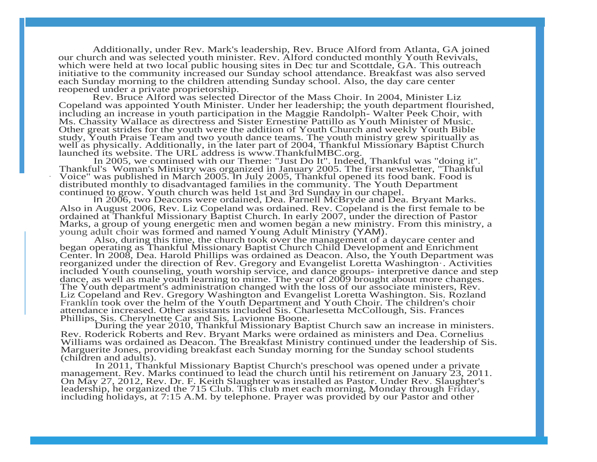Additionally, under Rev. Mark's leadership, Rev. Bruce Alford from Atlanta, GA joined our church and was selected youth minister. Rev. Alford conducted monthly Youth Revivals, which were held at two local public housing sites in Dec tur and Scottdale, GA. This outreach initiative to the community increased our Sunday school attendance. Breakfast was also served each Sunday morning to the children attending Sunday school. Also, the day care center reopened under a private proprietorship.

Rev. Bruce Alford was selected Director of the Mass Choir. In 2004, Minister Liz Copeland was appointed Youth Minister. Under her leadership; the youth department flourished, including an increase in youth participation in the Maggie Randolph- Walter Peek Choir, with Ms. Chassity Wallace as directress and Sister Ernestine Pattillo as Youth Minister of Music. Other great strides for the youth were the addition of Youth Church and weekly Youth Bible study, Youth Praise Team and two youth dance teams. The youth ministry grew spiritually as well as physically. Additionally, in the later part of 2004, Thankful Missionary Baptist Church launched its website. The URL address is [www.ThankfulMBC.org.](http://www.thankfulmbc.org/)

In 2005, we continued with our Theme: "Just Do It". Indeed, Thankful was "doing it''. Thankful's Woman's Ministry was organized in January 2005. The first newsletter, "Thankful · Voice" was published in March 2005. In July 2005, Thankful opened its food bank. Food is distributed monthly to disadvantaged families in the community. The Youth Department continued to grow. Youth church was held 1st and 3rd Sunday in our chapel.

In 2006, two Deacons were ordained, Dea. Parnell McBryde and Dea. Bryant Marks. Also in August 2006, Rev. Liz Copeland was ordained. Rev. Copeland is the first female to be ordained at Thankful Missionary Baptist Church. In early 2007, under the direction of Pastor Marks, a group of young energetic men and women began a new ministry. From this ministry, a young adult choir was formed and named Young Adult Ministry (YAM).

Also, during this time, the church took over the management of a daycare center and began operating as Thankful Missionary Baptist Church Child Development and Enrichment Center. In 2008, Dea. Harold Phillips was ordained as Deacon. Also, the Youth Department was reorganized under the direction of Rev. Gregory and Evangelist Loretta Washington·. Activities included Youth counseling, youth worship service, and dance groups- interpretive dance and step dance, as well as male youth learning to mime. The year of 2009 brought about more changes. The Youth department's administration changed with the loss of our associate ministers, Rev. Liz Copeland and Rev. Gregory Washington and Evangelist Loretta Washington. Sis. Rozland Franklin took over the helm of the Youth Department and Youth Choir. The children's choir attendance increased. Other assistants included Sis. Charlesetta McCollough, Sis. Frances Phillips, Sis. Cherylnette Car and Sis. Lavionne Boone.

During the year 2010, Thankful Missionary Baptist Church saw an increase in ministers. Rev. Roderick Roberts and Rev. Bryant Marks were ordained as ministers and Dea. Cornelius Williams was ordained as Deacon. The Breakfast Ministry continued under the leadership of Sis. Marguerite Jones, providing breakfast each Sunday morning for the Sunday school students (children and adults).

In 2011, Thankful Missionary Baptist Church's preschool was opened under a private management. Rev. Marks continued to lead the church until his retirement on January 23, 2011. On May 27, 2012, Rev. Dr. F. Keith Slaughter was installed as Pastor. Under Rev. Slaughter's leadership, he organized the 715 Club. This club met each morning, Monday through Friday, including holidays, at 7:15 A.M. by telephone. Prayer was provided by our Pastor and other